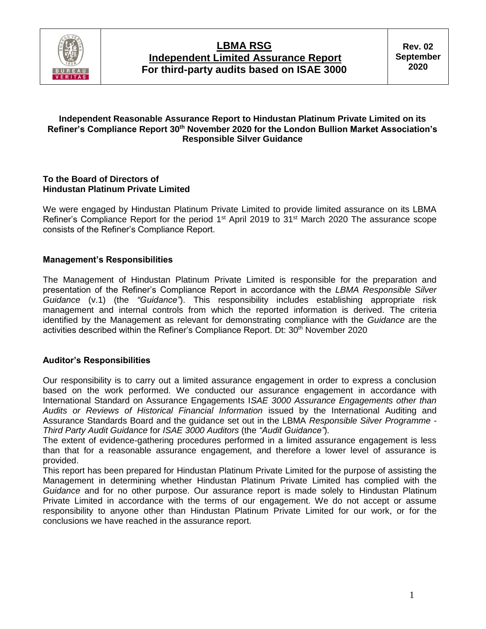

## **LBMA RSG Independent Limited Assurance Report For third-party audits based on ISAE 3000**

### **Independent Reasonable Assurance Report to Hindustan Platinum Private Limited on its Refiner's Compliance Report 30th November 2020 for the London Bullion Market Association's Responsible Silver Guidance**

#### **To the Board of Directors of Hindustan Platinum Private Limited**

We were engaged by Hindustan Platinum Private Limited to provide limited assurance on its LBMA Refiner's Compliance Report for the period 1<sup>st</sup> April 2019 to 31<sup>st</sup> March 2020 The assurance scope consists of the Refiner's Compliance Report.

### **Management's Responsibilities**

The Management of Hindustan Platinum Private Limited is responsible for the preparation and presentation of the Refiner's Compliance Report in accordance with the *LBMA Responsible Silver Guidance* (v.1) (the *"Guidance"*). This responsibility includes establishing appropriate risk management and internal controls from which the reported information is derived. The criteria identified by the Management as relevant for demonstrating compliance with the *Guidance* are the activities described within the Refiner's Compliance Report. Dt: 30<sup>th</sup> November 2020

#### **Auditor's Responsibilities**

Our responsibility is to carry out a limited assurance engagement in order to express a conclusion based on the work performed. We conducted our assurance engagement in accordance with International Standard on Assurance Engagements I*SAE 3000 Assurance Engagements other than Audits or Reviews of Historical Financial Information* issued by the International Auditing and Assurance Standards Board and the guidance set out in the LBMA *Responsible Silver Programme - Third Party Audit Guidance* for *ISAE 3000 Auditors* (the *"Audit Guidance"*)*.*

The extent of evidence-gathering procedures performed in a limited assurance engagement is less than that for a reasonable assurance engagement, and therefore a lower level of assurance is provided.

This report has been prepared for Hindustan Platinum Private Limited for the purpose of assisting the Management in determining whether Hindustan Platinum Private Limited has complied with the *Guidance* and for no other purpose. Our assurance report is made solely to Hindustan Platinum Private Limited in accordance with the terms of our engagement. We do not accept or assume responsibility to anyone other than Hindustan Platinum Private Limited for our work, or for the conclusions we have reached in the assurance report.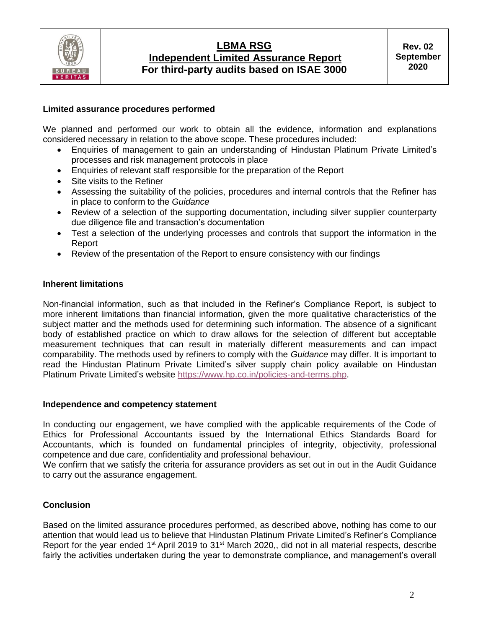

## **LBMA RSG Independent Limited Assurance Report For third-party audits based on ISAE 3000**

#### **Limited assurance procedures performed**

We planned and performed our work to obtain all the evidence, information and explanations considered necessary in relation to the above scope. These procedures included:

- Enquiries of management to gain an understanding of Hindustan Platinum Private Limited's processes and risk management protocols in place
- Enquiries of relevant staff responsible for the preparation of the Report
- Site visits to the Refiner
- Assessing the suitability of the policies, procedures and internal controls that the Refiner has in place to conform to the *Guidance*
- Review of a selection of the supporting documentation, including silver supplier counterparty due diligence file and transaction's documentation
- Test a selection of the underlying processes and controls that support the information in the Report
- Review of the presentation of the Report to ensure consistency with our findings

### **Inherent limitations**

Non-financial information, such as that included in the Refiner's Compliance Report, is subject to more inherent limitations than financial information, given the more qualitative characteristics of the subject matter and the methods used for determining such information. The absence of a significant body of established practice on which to draw allows for the selection of different but acceptable measurement techniques that can result in materially different measurements and can impact comparability. The methods used by refiners to comply with the *Guidance* may differ. It is important to read the Hindustan Platinum Private Limited's silver supply chain policy available on Hindustan Platinum Private Limited's website [https://www.hp.co.in/policies-and-terms.php.](https://www.hp.co.in/policies-and-terms.php)

#### **Independence and competency statement**

In conducting our engagement, we have complied with the applicable requirements of the Code of Ethics for Professional Accountants issued by the International Ethics Standards Board for Accountants, which is founded on fundamental principles of integrity, objectivity, professional competence and due care, confidentiality and professional behaviour.

We confirm that we satisfy the criteria for assurance providers as set out in out in the Audit Guidance to carry out the assurance engagement.

### **Conclusion**

Based on the limited assurance procedures performed, as described above, nothing has come to our attention that would lead us to believe that Hindustan Platinum Private Limited's Refiner's Compliance Report for the year ended 1<sup>st</sup> April 2019 to 31<sup>st</sup> March 2020,, did not in all material respects, describe fairly the activities undertaken during the year to demonstrate compliance, and management's overall